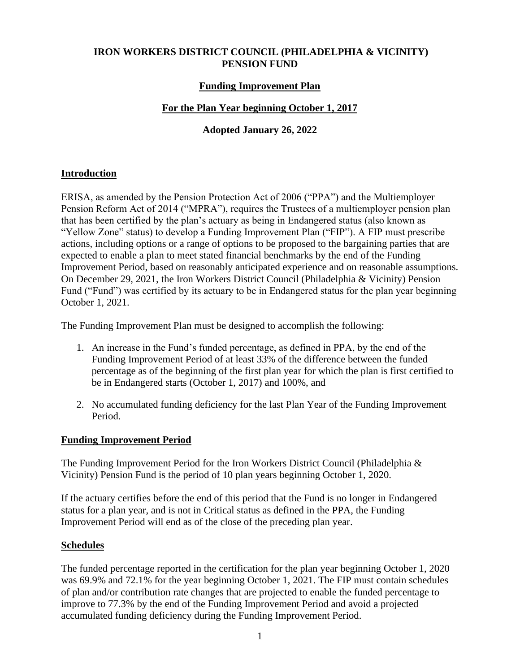# **IRON WORKERS DISTRICT COUNCIL (PHILADELPHIA & VICINITY) PENSION FUND**

### **Funding Improvement Plan**

## **For the Plan Year beginning October 1, 2017**

## **Adopted January 26, 2022**

### **Introduction**

ERISA, as amended by the Pension Protection Act of 2006 ("PPA") and the Multiemployer Pension Reform Act of 2014 ("MPRA"), requires the Trustees of a multiemployer pension plan that has been certified by the plan's actuary as being in Endangered status (also known as "Yellow Zone" status) to develop a Funding Improvement Plan ("FIP"). A FIP must prescribe actions, including options or a range of options to be proposed to the bargaining parties that are expected to enable a plan to meet stated financial benchmarks by the end of the Funding Improvement Period, based on reasonably anticipated experience and on reasonable assumptions. On December 29, 2021, the Iron Workers District Council (Philadelphia & Vicinity) Pension Fund ("Fund") was certified by its actuary to be in Endangered status for the plan year beginning October 1, 2021.

The Funding Improvement Plan must be designed to accomplish the following:

- 1. An increase in the Fund's funded percentage, as defined in PPA, by the end of the Funding Improvement Period of at least 33% of the difference between the funded percentage as of the beginning of the first plan year for which the plan is first certified to be in Endangered starts (October 1, 2017) and 100%, and
- 2. No accumulated funding deficiency for the last Plan Year of the Funding Improvement Period.

#### **Funding Improvement Period**

The Funding Improvement Period for the Iron Workers District Council (Philadelphia & Vicinity) Pension Fund is the period of 10 plan years beginning October 1, 2020.

If the actuary certifies before the end of this period that the Fund is no longer in Endangered status for a plan year, and is not in Critical status as defined in the PPA, the Funding Improvement Period will end as of the close of the preceding plan year.

#### **Schedules**

The funded percentage reported in the certification for the plan year beginning October 1, 2020 was 69.9% and 72.1% for the year beginning October 1, 2021. The FIP must contain schedules of plan and/or contribution rate changes that are projected to enable the funded percentage to improve to 77.3% by the end of the Funding Improvement Period and avoid a projected accumulated funding deficiency during the Funding Improvement Period.